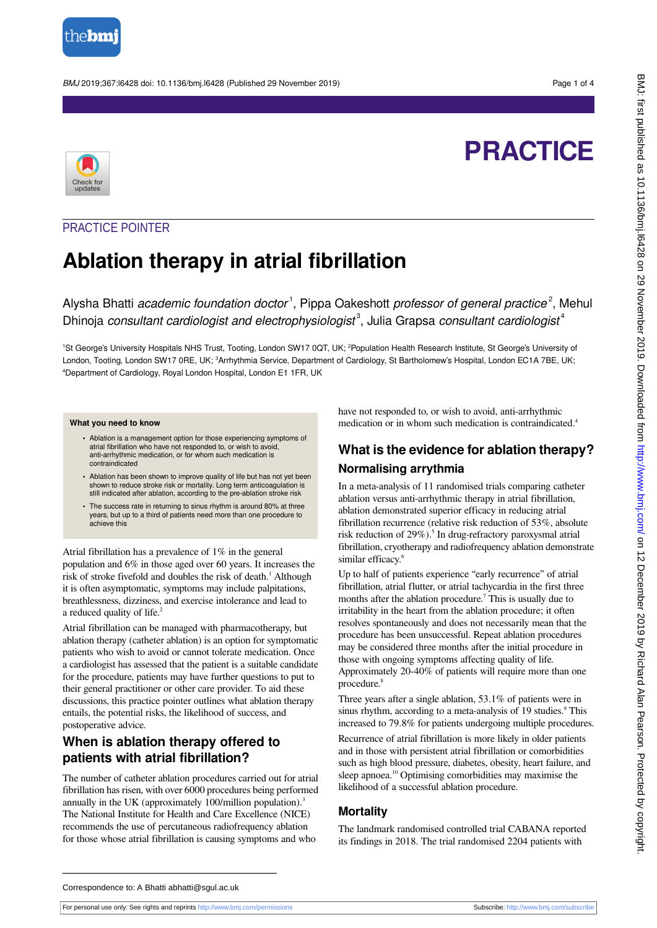

BMJ 2019;367:l6428 doi: 10.1136/bmj.l6428 (Published 29 November 2019) Page 1 of 4

# **PRACTICE**



### PRACTICE POINTER

# **Ablation therapy in atrial fibrillation**

Alysha Bhatti academic foundation doctor<sup>1</sup>, Pippa Oakeshott professor of general practice<sup>2</sup>, Mehul Dhinoja consultant cardiologist and electrophysiologist<sup>3</sup>, Julia Grapsa consultant cardiologist<sup>4</sup>

1St George's University Hospitals NHS Trust, Tooting, London SW17 0QT, UK; <sup>2</sup>Population Health Research Institute, St George's University of London, Tooting, London SW17 0RE, UK; <sup>3</sup>Arrhythmia Service, Department of Cardiology, St Bartholomew's Hospital, London EC1A 7BE, UK; <sup>4</sup>Department of Cardiology, Royal London Hospital, London E1 1FR, UK

#### **What you need to know**

- **•** Ablation is a management option for those experiencing symptoms of atrial fibrillation who have not responded to, or wish to avoid, anti-arrhythmic medication, or for whom such medication is contraindicated
- **•** Ablation has been shown to improve quality of life but has not yet been shown to reduce stroke risk or mortality. Long term anticoagulation is still indicated after ablation, according to the pre-ablation stroke risk
- **•** The success rate in returning to sinus rhythm is around 80% at three years, but up to a third of patients need more than one procedure to achieve this

Atrial fibrillation has a prevalence of 1% in the general population and 6% in those aged over 60 years. It increases the risk of stroke fivefold and doubles the risk of death.<sup>1</sup> Although it is often asymptomatic, symptoms may include palpitations, breathlessness, dizziness, and exercise intolerance and lead to a reduced quality of life.<sup>2</sup>

Atrial fibrillation can be managed with pharmacotherapy, but ablation therapy (catheter ablation) is an option for symptomatic patients who wish to avoid or cannot tolerate medication. Once a cardiologist has assessed that the patient is a suitable candidate for the procedure, patients may have further questions to put to their general practitioner or other care provider. To aid these discussions, this practice pointer outlines what ablation therapy entails, the potential risks, the likelihood of success, and postoperative advice.

### **When is ablation therapy offered to patients with atrial fibrillation?**

The number of catheter ablation procedures carried out for atrial fibrillation has risen, with over 6000 procedures being performed annually in the UK (approximately 100/million population).<sup>3</sup> The National Institute for Health and Care Excellence (NICE) recommends the use of percutaneous radiofrequency ablation for those whose atrial fibrillation is causing symptoms and who

have not responded to, or wish to avoid, anti-arrhythmic medication or in whom such medication is contraindicated.<sup>4</sup>

### **What is the evidence for ablation therapy? Normalising arrythmia**

In a meta-analysis of 11 randomised trials comparing catheter ablation versus anti-arrhythmic therapy in atrial fibrillation, ablation demonstrated superior efficacy in reducing atrial fibrillation recurrence (relative risk reduction of 53%, absolute risk reduction of 29%).<sup>5</sup> In drug-refractory paroxysmal atrial fibrillation, cryotherapy and radiofrequency ablation demonstrate similar efficacy.<sup>6</sup>

Up to half of patients experience "early recurrence" of atrial fibrillation, atrial flutter, or atrial tachycardia in the first three months after the ablation procedure.<sup>7</sup> This is usually due to irritability in the heart from the ablation procedure; it often resolves spontaneously and does not necessarily mean that the procedure has been unsuccessful. Repeat ablation procedures may be considered three months after the initial procedure in those with ongoing symptoms affecting quality of life. Approximately 20-40% of patients will require more than one procedure.<sup>8</sup>

Three years after a single ablation, 53.1% of patients were in sinus rhythm, according to a meta-analysis of 19 studies.<sup>9</sup> This increased to 79.8% for patients undergoing multiple procedures.

Recurrence of atrial fibrillation is more likely in older patients and in those with persistent atrial fibrillation or comorbidities such as high blood pressure, diabetes, obesity, heart failure, and sleep apnoea.<sup>10</sup> Optimising comorbidities may maximise the likelihood of a successful ablation procedure.

#### **Mortality**

The landmark randomised controlled trial CABANA reported its findings in 2018. The trial randomised 2204 patients with

Correspondence to: A Bhatti abhatti@sgul.ac.uk

For personal use only: See rights and reprints<http://www.bmj.com/permissions> Subscribe: <http://www.bmj.com/subscribe>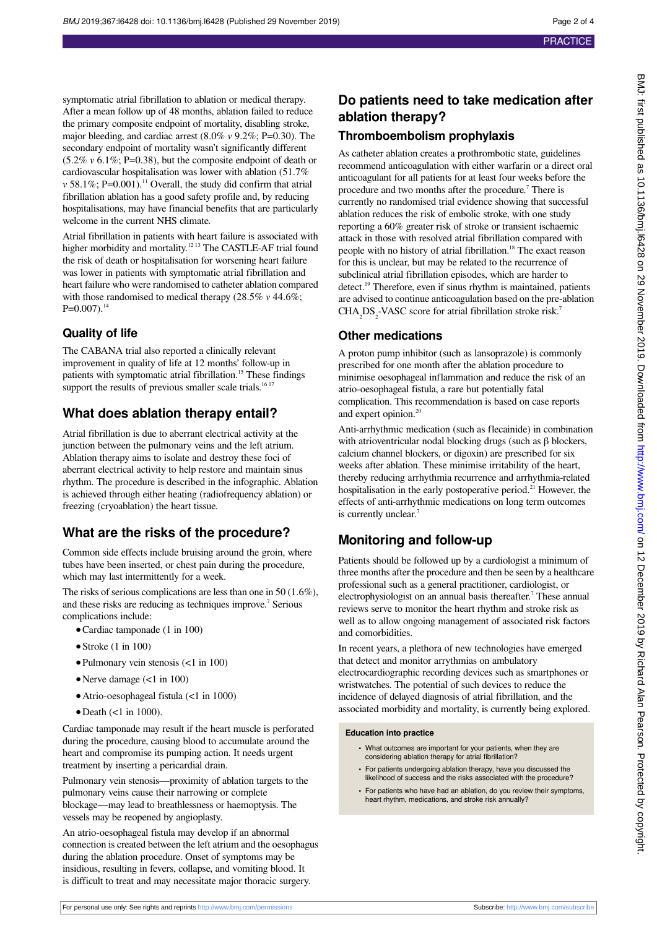symptomatic atrial fibrillation to ablation or medical therapy. After a mean follow up of 48 months, ablation failed to reduce the primary composite endpoint of mortality, disabling stroke, major bleeding, and cardiac arrest (8.0% *v* 9.2%; P=0.30). The secondary endpoint of mortality wasn't significantly different (5.2% *v* 6.1%; P=0.38), but the composite endpoint of death or cardiovascular hospitalisation was lower with ablation (51.7% *v* 58.1%; P=0.001).<sup>11</sup> Overall, the study did confirm that atrial fibrillation ablation has a good safety profile and, by reducing hospitalisations, may have financial benefits that are particularly welcome in the current NHS climate.

Atrial fibrillation in patients with heart failure is associated with higher morbidity and mortality.<sup>1213</sup> The CASTLE-AF trial found the risk of death or hospitalisation for worsening heart failure was lower in patients with symptomatic atrial fibrillation and heart failure who were randomised to catheter ablation compared with those randomised to medical therapy (28.5% *v* 44.6%;  $P=0.007$ ).<sup>14</sup>

#### **Quality of life**

The CABANA trial also reported a clinically relevant improvement in quality of life at 12 months' follow-up in patients with symptomatic atrial fibrillation.<sup>15</sup> These findings support the results of previous smaller scale trials.<sup>16 17</sup>

### **What does ablation therapy entail?**

Atrial fibrillation is due to aberrant electrical activity at the junction between the pulmonary veins and the left atrium. Ablation therapy aims to isolate and destroy these foci of aberrant electrical activity to help restore and maintain sinus rhythm. The procedure is described in the infographic. Ablation is achieved through either heating (radiofrequency ablation) or freezing (cryoablation) the heart tissue.

### **What are the risks of the procedure?**

Common side effects include bruising around the groin, where tubes have been inserted, or chest pain during the procedure, which may last intermittently for a week.

The risks of serious complications are less than one in 50 (1.6%), and these risks are reducing as techniques improve.<sup>7</sup> Serious complications include:

- **•**Cardiac tamponade (1 in 100)
- **•**Stroke (1 in 100)
- **•**Pulmonary vein stenosis (<1 in 100)
- Nerve damage (<1 in 100)
- Atrio-oesophageal fistula (<1 in 1000)
- Death (<1 in 1000).

Cardiac tamponade may result if the heart muscle is perforated during the procedure, causing blood to accumulate around the heart and compromise its pumping action. It needs urgent treatment by inserting a pericardial drain.

Pulmonary vein stenosis—proximity of ablation targets to the pulmonary veins cause their narrowing or complete blockage—may lead to breathlessness or haemoptysis. The vessels may be reopened by angioplasty.

An atrio-oesophageal fistula may develop if an abnormal connection is created between the left atrium and the oesophagus during the ablation procedure. Onset of symptoms may be insidious, resulting in fevers, collapse, and vomiting blood. It is difficult to treat and may necessitate major thoracic surgery.

### **Do patients need to take medication after ablation therapy?**

#### **Thromboembolism prophylaxis**

As catheter ablation creates a prothrombotic state, guidelines recommend anticoagulation with either warfarin or a direct oral anticoagulant for all patients for at least four weeks before the procedure and two months after the procedure.<sup>7</sup> There is currently no randomised trial evidence showing that successful ablation reduces the risk of embolic stroke, with one study reporting a 60% greater risk of stroke or transient ischaemic attack in those with resolved atrial fibrillation compared with people with no history of atrial fibrillation.<sup>18</sup> The exact reason for this is unclear, but may be related to the recurrence of subclinical atrial fibrillation episodes, which are harder to detect.<sup>19</sup> Therefore, even if sinus rhythm is maintained, patients are advised to continue anticoagulation based on the pre-ablation  $CHA<sub>2</sub>DS<sub>2</sub>-VASC score for a trial fibrillation stroke risk.<sup>7</sup>$ 

#### **Other medications**

A proton pump inhibitor (such as lansoprazole) is commonly prescribed for one month after the ablation procedure to minimise oesophageal inflammation and reduce the risk of an atrio-oesophageal fistula, a rare but potentially fatal complication. This recommendation is based on case reports and expert opinion.<sup>20</sup>

Anti-arrhythmic medication (such as flecainide) in combination with atrioventricular nodal blocking drugs (such as β blockers, calcium channel blockers, or digoxin) are prescribed for six weeks after ablation. These minimise irritability of the heart, thereby reducing arrhythmia recurrence and arrhythmia-related hospitalisation in the early postoperative period.<sup>21</sup> However, the effects of anti-arrhythmic medications on long term outcomes is currently unclear.<sup>7</sup>

### **Monitoring and follow-up**

Patients should be followed up by a cardiologist a minimum of three months after the procedure and then be seen by a healthcare professional such as a general practitioner, cardiologist, or electrophysiologist on an annual basis thereafter.<sup>7</sup> These annual reviews serve to monitor the heart rhythm and stroke risk as well as to allow ongoing management of associated risk factors and comorbidities.

In recent years, a plethora of new technologies have emerged that detect and monitor arrythmias on ambulatory electrocardiographic recording devices such as smartphones or wristwatches. The potential of such devices to reduce the incidence of delayed diagnosis of atrial fibrillation, and the associated morbidity and mortality, is currently being explored.

#### **Education into practice**

- **•** What outcomes are important for your patients, when they are considering ablation therapy for atrial fibrillation?
- **•** For patients undergoing ablation therapy, have you discussed the likelihood of success and the risks associated with the procedure?
- **•** For patients who have had an ablation, do you review their symptoms, heart rhythm, medications, and stroke risk annually?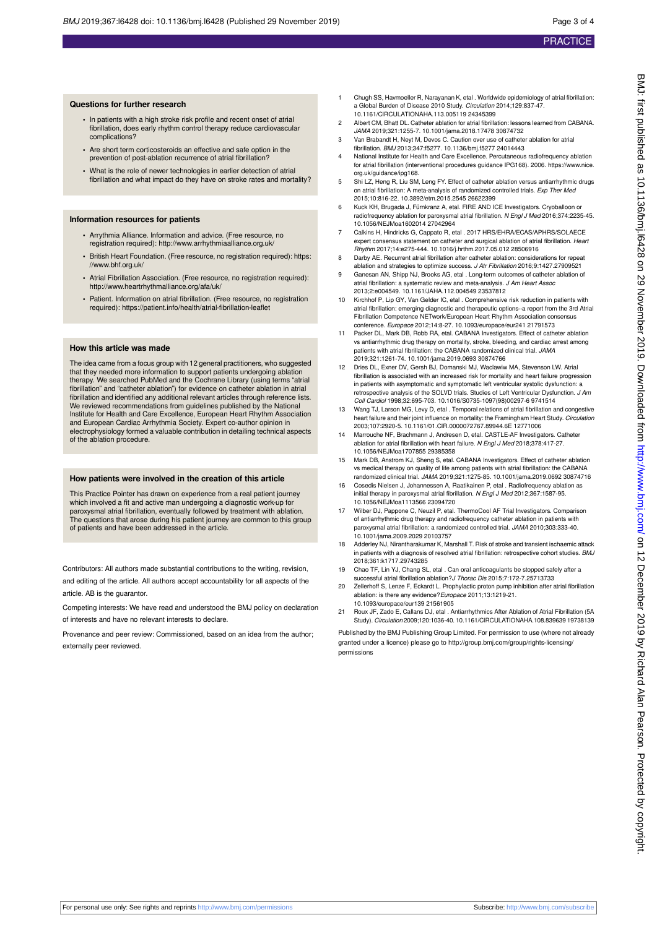#### **Questions for further research**

- **•** In patients with a high stroke risk profile and recent onset of atrial fibrillation, does early rhythm control therapy reduce cardiovascular complications?
- **•** Are short term corticosteroids an effective and safe option in the prevention of post-ablation recurrence of atrial fibrillation?
- **•** What is the role of newer technologies in earlier detection of atrial fibrillation and what impact do they have on stroke rates and mortality?

#### **Information resources for patients**

- **•** Arrythmia Alliance. Information and advice. (Free resource, no registration required): <http://www.arrhythmiaalliance.org.uk/>
- **•** British Heart Foundation. (Free resource, no registration required): https: //www.bhf.org.uk/
- **•** Atrial Fibrillation Association. (Free resource, no registration required): <http://www.heartrhythmalliance.org/afa/uk/>
- **•** Patient. Information on atrial fibrillation. (Free resource, no registration required): https://patient.info/health/atrial-fibrillation-leaflet

#### **How this article was made**

The idea came from a focus group with 12 general practitioners, who suggested that they needed more information to support patients undergoing ablation therapy. We searched PubMed and the Cochrane Library (using terms "atrial fibrillation" and "catheter ablation") for evidence on catheter ablation in atrial fibrillation and identified any additional relevant articles through reference lists. We reviewed recommendations from guidelines published by the National Institute for Health and Care Excellence, European Heart Rhythm Association and European Cardiac Arrhythmia Society. Expert co-author opinion in electrophysiology formed a valuable contribution in detailing technical aspects of the ablation procedure.

#### **How patients were involved in the creation of this article**

This Practice Pointer has drawn on experience from a real patient journey which involved a fit and active man undergoing a diagnostic work-up for paroxysmal atrial fibrillation, eventually followed by treatment with ablation. The questions that arose during his patient journey are common to this group of patients and have been addressed in the article.

Contributors: All authors made substantial contributions to the writing, revision, and editing of the article. All authors accept accountability for all aspects of the article. AB is the guarantor.

Competing interests: We have read and understood the BMJ policy on declaration of interests and have no relevant interests to declare.

Provenance and peer review: Commissioned, based on an idea from the author; externally peer reviewed.

- 1 Chugh SS, Havmoeller R, Narayanan K, etal . Worldwide epidemiology of atrial fibrillation: a Global Burden of Disease 2010 Study. Circulation 2014;129:837-47. 10.1161/CIRCULATIONAHA.113.005119 24345399
- 2 Albert CM, Bhatt DL. Catheter ablation for atrial fibrillation: lessons learned from CABANA. JAMA 2019;321:1255-7. 10.1001/jama.2018.17478 30874732
- 3 Van Brabandt H, Neyt M, Devos C. Caution over use of catheter ablation for atrial fibrillation. BMJ 2013;347:f5277. 10.1136/bmj.f5277 24014443
- 4 National Institute for Health and Care Excellence. Percutaneous radiofrequency ablation for atrial fibrillation (interventional procedures guidance IPG168), 2006. https://www.nice. org.uk/guidance/ipg168.
- 5 Shi LZ, Heng R, Liu SM, Leng FY. Effect of catheter ablation versus antiarrhythmic drugs on atrial fibrillation: A meta-analysis of randomized controlled trials. Exp Ther Med 2015;10:816-22. 10.3892/etm.2015.2545 26622399
- 6 Kuck KH, Brugada J, Fürnkranz A, etal. FIRE AND ICE Investigators. Cryoballoon or radiofrequency ablation for paroxysmal atrial fibrillation. N Engl J Med 2016;374:2235-45. 10.1056/NEJMoa1602014 27042964
- 7 Calkins H, Hindricks G, Cappato R, etal . 2017 HRS/EHRA/ECAS/APHRS/SOLAECE expert consensus statement on catheter and surgical ablation of atrial fibrillation. Heart Rhythm 2017;14:e275-444. 10.1016/j.hrthm.2017.05.012 28506916
- 8 Darby AE. Recurrent atrial fibrillation after catheter ablation: considerations for repeat ablation and strategies to optimize success. J Atr Fibrillation 2016;9:1427.27909521
- 9 Ganesan AN, Shipp NJ, Brooks AG, etal . Long-term outcomes of catheter ablation of atrial fibrillation: a systematic review and meta-analysis. J Am Heart Assoc 2013;2:e004549. 10.1161/JAHA.112.004549 23537812
- 10 Kirchhof P, Lip GY, Van Gelder IC, etal . Comprehensive risk reduction in patients with atrial fibrillation: emerging diagnostic and therapeutic options--a report from the 3rd Atrial Fibrillation Competence NETwork/European Heart Rhythm Association consensus conference. Europace 2012;14:8-27. 10.1093/europace/eur241 21791573
- 11 Packer DL, Mark DB, Robb RA, etal. CABANA Investigators. Effect of catheter ablation vs antiarrhythmic drug therapy on mortality, stroke, bleeding, and cardiac arrest among patients with atrial fibrillation: the CABANA randomized clinical trial. JAMA .<br>2019;321:1261-74. 10.1001/jama.2019.0693 30874766
- 12 Dries DL, Exner DV, Gersh BJ, Domanski MJ, Waclawiw MA, Stevenson LW. Atrial fibrillation is associated with an increased risk for mortality and heart failure progression in patients with asymptomatic and symptomatic left ventricular systolic dysfunction: a retrospective analysis of the SOLVD trials. Studies of Left Ventricular Dysfunction. J Am Coll Cardiol 1998;32:695-703. 10.1016/S0735-1097(98)00297-6 9741514
- 13 Wang TJ, Larson MG, Levy D, etal . Temporal relations of atrial fibrillation and congestive heart failure and their joint influence on mortality: the Framingham Heart Study. Circulation 2003;107:2920-5. 10.1161/01.CIR.0000072767.89944.6E 12771006
- 14 Marrouche NF, Brachmann J, Andresen D, etal. CASTLE-AF Investigators. Catheter<br>ablation for atrial fibrillation with heart failure. N Engl J Med 2018;378:417-27. 10.1056/NEJMoa1707855 29385358
- 15 Mark DB, Anstrom KJ, Sheng S, etal. CABANA Investigators. Effect of catheter ablation vs medical therapy on quality of life among patients with atrial fibrillation: the CABANA randomized clinical trial. JAMA 2019;321:1275-85. 10.1001/jama.2019.0692 30874716
- 16 Cosedis Nielsen J, Johannessen A, Raatikainen P, etal . Radiofrequency ablation as initial therapy in paroxysmal atrial fibrillation. N Engl J Med 2012;367:1587-95. 10.1056/NEJMoa1113566 23094720
- 17 Wilber DJ, Pappone C, Neuzil P, etal. ThermoCool AF Trial Investigators. Comparison of antiarrhythmic drug therapy and radiofrequency catheter ablation in patients with paroxysmal atrial fibrillation: a randomized controlled trial. JAMA 2010;303:333-40. 10.1001/jama.2009.2029 20103757
- 18 Adderley NJ, Nirantharakumar K, Marshall T. Risk of stroke and transient ischaemic attack in patients with a diagnosis of resolved atrial fibrillation: retrospective cohort studies. BMJ 2018;361:k1717.29743285
- 19 Chao TF, Lin YJ, Chang SL, etal . Can oral anticoagulants be stopped safely after a successful atrial fibrillation ablation?J Thorac Dis 2015;7:172-7.25713733
- 20 Zellerhoff S, Lenze F, Eckardt L. Prophylactic proton pump inhibition after atrial fibrillation ablation: is there any evidence?Europace 2011;13:1219-21. 10.1093/europace/eur139 21561905
- 21 Roux JF, Zado E, Callans DJ, etal . Antiarrhythmics After Ablation of Atrial Fibrillation (5A Study). Circulation 2009;120:1036-40. 10.1161/CIRCULATIONAHA.108.839639 19738139

Published by the BMJ Publishing Group Limited. For permission to use (where not already granted under a licence) please go to [http://group.bmj.com/group/rights-licensing/](http://group.bmj.com/group/rights-licensing/permissions) [permissions](http://group.bmj.com/group/rights-licensing/permissions)